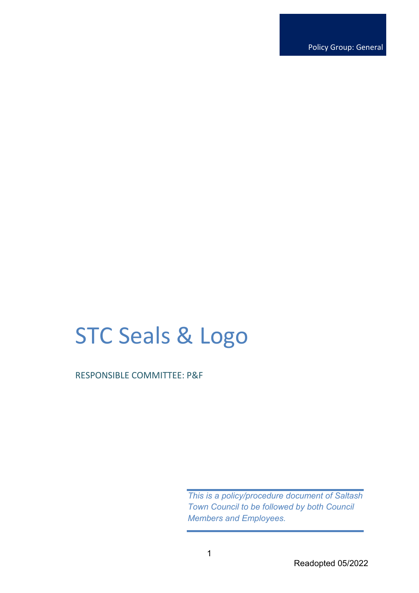Policy Group: General

# STC Seals & Logo

RESPONSIBLE COMMITTEE: P&F

*This is a policy/procedure document of Saltash Town Council to be followed by both Council Members and Employees.*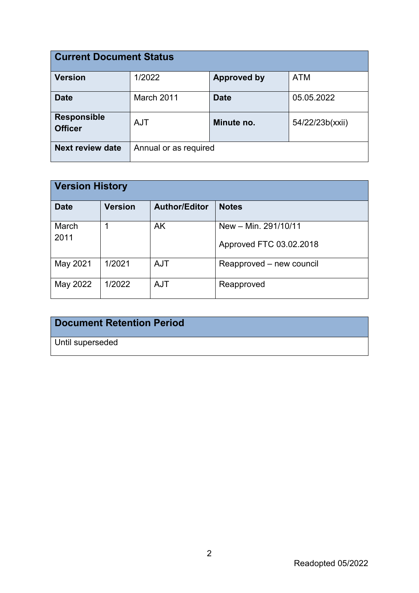| <b>Current Document Status</b>       |                       |                    |                 |  |
|--------------------------------------|-----------------------|--------------------|-----------------|--|
| <b>Version</b>                       | 1/2022                | <b>Approved by</b> | <b>ATM</b>      |  |
| <b>Date</b>                          | March 2011            | <b>Date</b>        | 05.05.2022      |  |
| <b>Responsible</b><br><b>Officer</b> | <b>AJT</b>            | Minute no.         | 54/22/23b(xxii) |  |
| <b>Next review date</b>              | Annual or as required |                    |                 |  |

| <b>Version History</b> |                |                      |                                                 |  |
|------------------------|----------------|----------------------|-------------------------------------------------|--|
| <b>Date</b>            | <b>Version</b> | <b>Author/Editor</b> | <b>Notes</b>                                    |  |
| March<br>2011          |                | AK                   | New - Min. 291/10/11<br>Approved FTC 03.02.2018 |  |
| May 2021               | 1/2021         | <b>AJT</b>           | Reapproved - new council                        |  |
| May 2022               | 1/2022         | <b>AJT</b>           | Reapproved                                      |  |

## **Document Retention Period**

Until superseded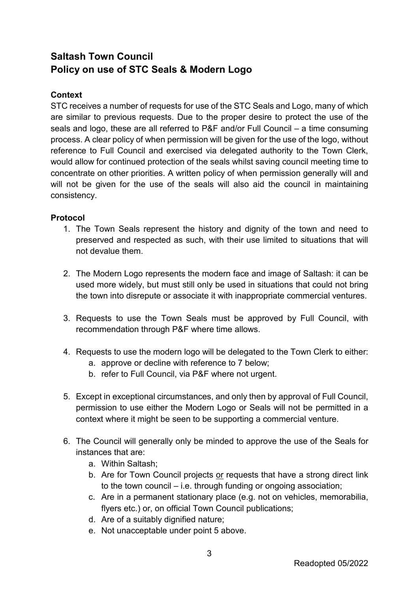## **Saltash Town Council Policy on use of STC Seals & Modern Logo**

### **Context**

STC receives a number of requests for use of the STC Seals and Logo, many of which are similar to previous requests. Due to the proper desire to protect the use of the seals and logo, these are all referred to P&F and/or Full Council – a time consuming process. A clear policy of when permission will be given for the use of the logo, without reference to Full Council and exercised via delegated authority to the Town Clerk, would allow for continued protection of the seals whilst saving council meeting time to concentrate on other priorities. A written policy of when permission generally will and will not be given for the use of the seals will also aid the council in maintaining consistency.

### **Protocol**

- 1. The Town Seals represent the history and dignity of the town and need to preserved and respected as such, with their use limited to situations that will not devalue them.
- 2. The Modern Logo represents the modern face and image of Saltash: it can be used more widely, but must still only be used in situations that could not bring the town into disrepute or associate it with inappropriate commercial ventures.
- 3. Requests to use the Town Seals must be approved by Full Council, with recommendation through P&F where time allows.
- 4. Requests to use the modern logo will be delegated to the Town Clerk to either:
	- a. approve or decline with reference to 7 below;
	- b. refer to Full Council, via P&F where not urgent.
- 5. Except in exceptional circumstances, and only then by approval of Full Council, permission to use either the Modern Logo or Seals will not be permitted in a context where it might be seen to be supporting a commercial venture.
- 6. The Council will generally only be minded to approve the use of the Seals for instances that are:
	- a. Within Saltash;
	- b. Are for Town Council projects or requests that have a strong direct link to the town council – i.e. through funding or ongoing association;
	- c. Are in a permanent stationary place (e.g. not on vehicles, memorabilia, flyers etc.) or, on official Town Council publications;
	- d. Are of a suitably dignified nature;
	- e. Not unacceptable under point 5 above.